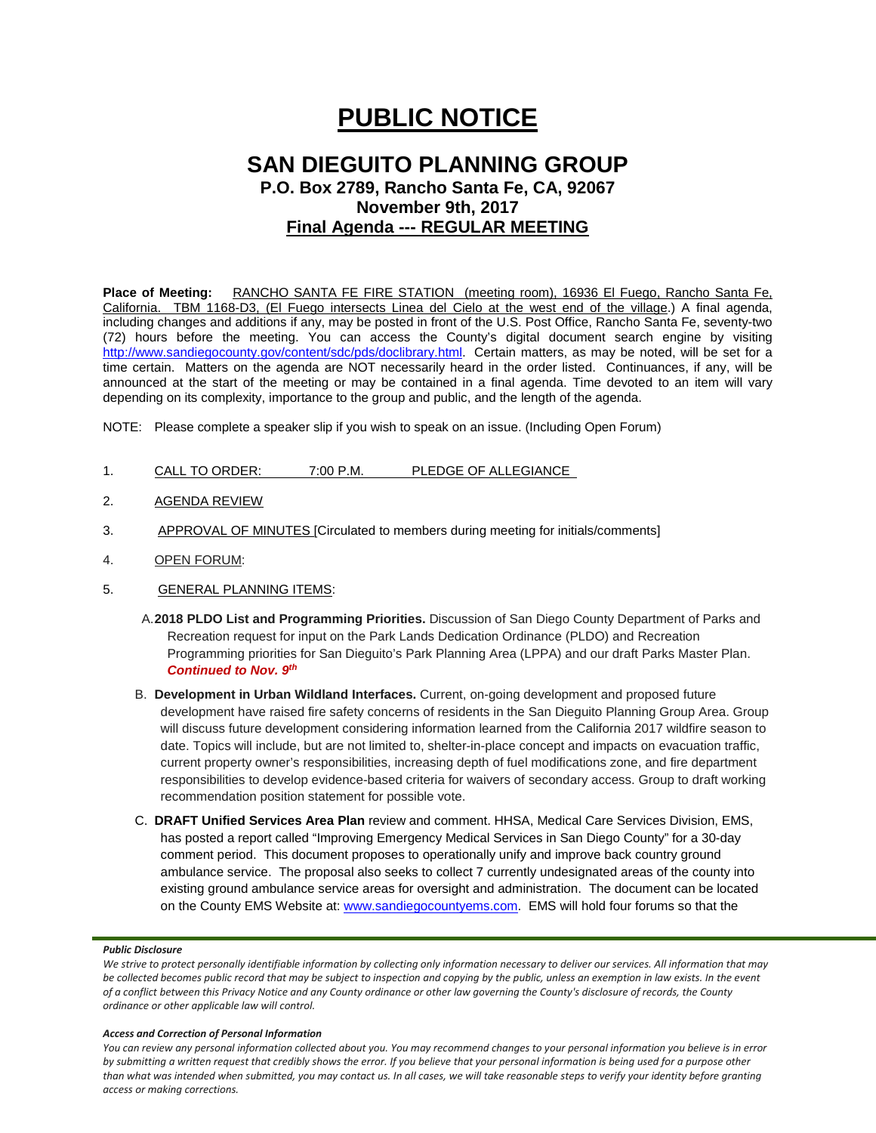# **PUBLIC NOTICE**

# **SAN DIEGUITO PLANNING GROUP P.O. Box 2789, Rancho Santa Fe, CA, 92067 November 9th, 2017 Final Agenda --- REGULAR MEETING**

**Place of Meeting:** RANCHO SANTA FE FIRE STATION (meeting room), 16936 El Fuego, Rancho Santa Fe, California. TBM 1168-D3, (El Fuego intersects Linea del Cielo at the west end of the village.) A final agenda, including changes and additions if any, may be posted in front of the U.S. Post Office, Rancho Santa Fe, seventy-two (72) hours before the meeting. You can access the County's digital document search engine by visiting <http://www.sandiegocounty.gov/content/sdc/pds/doclibrary.html>. Certain matters, as may be noted, will be set for a time certain. Matters on the agenda are NOT necessarily heard in the order listed. Continuances, if any, will be announced at the start of the meeting or may be contained in a final agenda. Time devoted to an item will vary depending on its complexity, importance to the group and public, and the length of the agenda.

NOTE: Please complete a speaker slip if you wish to speak on an issue. (Including Open Forum)

- 1. CALL TO ORDER: 7:00 P.M. PLEDGE OF ALLEGIANCE
- 2. AGENDA REVIEW
- 3. APPROVAL OF MINUTES [Circulated to members during meeting for initials/comments]
- 4. OPEN FORUM:
- 5. GENERAL PLANNING ITEMS:
	- A.**2018 PLDO List and Programming Priorities.** Discussion of San Diego County Department of Parks and Recreation request for input on the Park Lands Dedication Ordinance (PLDO) and Recreation Programming priorities for San Dieguito's Park Planning Area (LPPA) and our draft Parks Master Plan. *Continued to Nov. 9th*
	- B. **Development in Urban Wildland Interfaces.** Current, on-going development and proposed future development have raised fire safety concerns of residents in the San Dieguito Planning Group Area. Group will discuss future development considering information learned from the California 2017 wildfire season to date. Topics will include, but are not limited to, shelter-in-place concept and impacts on evacuation traffic, current property owner's responsibilities, increasing depth of fuel modifications zone, and fire department responsibilities to develop evidence-based criteria for waivers of secondary access. Group to draft working recommendation position statement for possible vote.
	- C. **DRAFT Unified Services Area Plan** review and comment. HHSA, Medical Care Services Division, EMS, has posted a report called "Improving Emergency Medical Services in San Diego County" for a 30-day comment period. This document proposes to operationally unify and improve back country ground ambulance service. The proposal also seeks to collect 7 currently undesignated areas of the county into existing ground ambulance service areas for oversight and administration. The document can be located on the County EMS Website at: [www.sandiegocountyems.com.](http://www.sandiegocountyems.com/) EMS will hold four forums so that the

#### *Public Disclosure*

#### *Access and Correction of Personal Information*

*You can review any personal information collected about you. You may recommend changes to your personal information you believe is in error by submitting a written request that credibly shows the error. If you believe that your personal information is being used for a purpose other than what was intended when submitted, you may contact us. In all cases, we will take reasonable steps to verify your identity before granting access or making corrections.*

*We strive to protect personally identifiable information by collecting only information necessary to deliver our services. All information that may be collected becomes public record that may be subject to inspection and copying by the public, unless an exemption in law exists. In the event of a conflict between this Privacy Notice and any County ordinance or other law governing the County's disclosure of records, the County ordinance or other applicable law will control.*